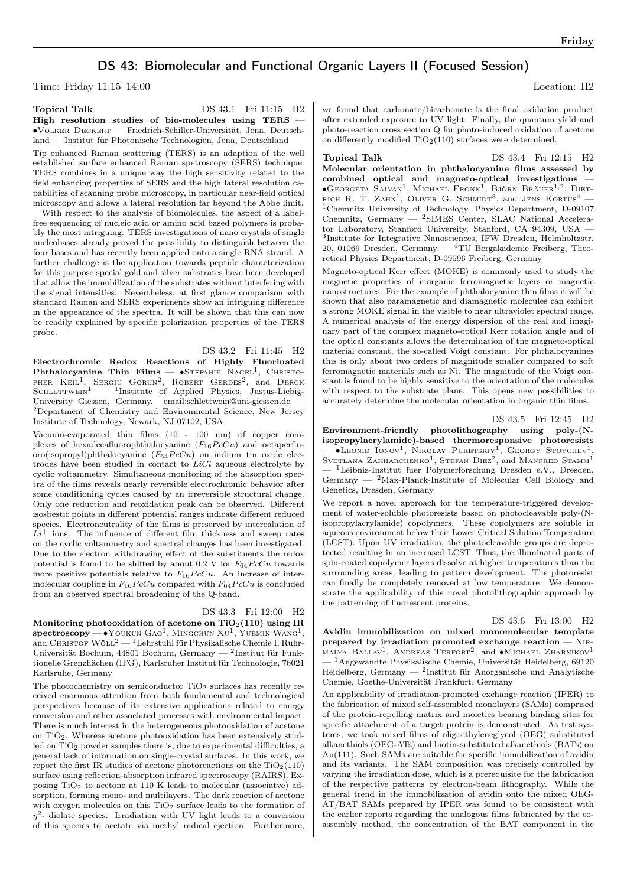# DS 43: Biomolecular and Functional Organic Layers II (Focused Session)

Time: Friday 11:15–14:00 Location: H2

| <b>Topical Talk</b>                                             |  |  |  |                                                                           |  | DS 43.1 Fri 11:15 H2 |  |
|-----------------------------------------------------------------|--|--|--|---------------------------------------------------------------------------|--|----------------------|--|
|                                                                 |  |  |  | High resolution studies of bio-molecules using TERS $-$                   |  |                      |  |
|                                                                 |  |  |  | $\bullet$ VOLKER DECKERT — Friedrich-Schiller-Universität, Jena, Deutsch- |  |                      |  |
| land — Institut für Photonische Technologien, Jena, Deutschland |  |  |  |                                                                           |  |                      |  |

Tip enhanced Raman scattering (TERS) is an adaption of the well established surface enhanced Raman spetroscopy (SERS) technique. TERS combines in a unique way the high sensitivity related to the field enhancing properties of SERS and the high lateral resolution capabilities of scanning probe microscopy, in particular near-field optical microscopy and allows a lateral resolution far beyond the Abbe limit.

With respect to the analysis of biomolecules, the aspect of a labelfree sequencing of nucleic acid or amino acid based polymers is probably the most intriguing. TERS investigations of nano crystals of single nucleobases already proved the possibility to distinguish between the four bases and has recently been applied onto a single RNA strand. A further challenge is the application towards peptide characterization for this purpose special gold and silver substrates have been developed that allow the immobilization of the substrates without interfering with the signal intensities. Nevertheless, at first glance comparison with standard Raman and SERS experiments show an intriguing difference in the appearance of the spectra. It will be shown that this can now be readily explained by specific polarization properties of the TERS probe.

DS 43.2 Fri 11:45 H2 Electrochromic Redox Reactions of Highly Fluorinated Phthalocyanine Thin Films —  $\bullet$ Stefanie Nagel<sup>1</sup>, Christo-PHER  $K \text{EIL}^1$ , SERGIU GORUN<sup>2</sup>, ROBERT GERDES<sup>2</sup>, and DERCK SCHLETTWEIN<sup>1</sup>  $-$  <sup>1</sup>Institute of Applied Physics, Justus-Liebig-University Giessen, Germany. email:schlettwein@uni-giessen.de — <sup>2</sup>Department of Chemistry and Environmental Science, New Jersey Institute of Technology, Newark, NJ 07102, USA

Vacuum-evaporated thin films (10 - 100 nm) of copper complexes of hexadecafluorophthalocyanine  $(F_{16} P c C u)$  and octaperfluoro(isopropyl)phthalocyanine  $(F_{64}PcCu)$  on indium tin oxide electrodes have been studied in contact to  $LiCl$  aqueous electrolyte by cyclic voltammetry. Simultaneous monitoring of the absorption spectra of the films reveals nearly reversible electrochromic behavior after some conditioning cycles caused by an irreversible structural change. Only one reduction and reoxidation peak can be observed. Different isosbestic points in different potential ranges indicate different reduced species. Electroneutrality of the films is preserved by intercalation of  $Li<sup>+</sup>$  ions. The influence of different film thickness and sweep rates on the cyclic voltammetry and spectral changes has been investigated. Due to the electron withdrawing effect of the substituents the redox potential is found to be shifted by about 0.2 V for  $F_{64}P_{64}C_u$  towards more positive potentials relative to  $F_{16}PcCu$ . An increase of intermolecular coupling in  $F_{16}$   $PcCu$  compared with  $F_{64}$   $PcCu$  is concluded from an observed spectral broadening of the Q-band.

#### DS 43.3 Fri 12:00 H2

Monitoring photooxidation of acetone on  $TiO<sub>2</sub>(110)$  using IR  ${\rm spectroscopy}$ — $\bullet$ Youkun Gao $^1,$  Mingchun Xu $^1,$  Yuemin Wang $^1,$ and CHRISTOF WÖLL<sup>2</sup> — <sup>1</sup>Lehrstuhl für Physikalische Chemie I, Ruhr-Universität Bochum, 44801 Bochum, Germany — <sup>2</sup>Institut für Funktionelle Grenzflächen (IFG), Karlsruher Institut für Technologie, 76021 Karlsruhe, Germany

The photochemistry on semiconductor  $TiO<sub>2</sub>$  surfaces has recently received enormous attention from both fundamental and technological perspectives because of its extensive applications related to energy conversion and other associated processes with environmental impact. There is much interest in the heterogeneous photooxidation of acetone on TiO2. Whereas acetone photooxidation has been extensively studied on TiO<sup>2</sup> powder samples there is, due to experimental difficulties, a general lack of information on single-crystal surfaces. In this work, we report the first IR studies of acetone photoreactions on the  $TiO<sub>2</sub>(110)$ surface using reflection-absorption infrared spectroscopy (RAIRS). Exposing  $TiO<sub>2</sub>$  to acetone at 110 K leads to molecular (associatve) adsorption, forming mono- and multilayers. The dark reaction of acetone with oxygen molecules on this  $TiO<sub>2</sub>$  surface leads to the formation of  $\eta^2$ - diolate species. Irradiation with UV light leads to a conversion of this species to acetate via methyl radical ejection. Furthermore,

we found that carbonate/bicarbonate is the final oxidation product after extended exposure to UV light. Finally, the quantum yield and photo-reaction cross section Q for photo-induced oxidation of acetone on differently modified  $TiO<sub>2</sub>(110)$  surfaces were determined.

## Topical Talk DS 43.4 Fri 12:15 H2

Molecular orientation in phthalocyanine films assessed by combined optical and magneto-optical investigations — ∙Georgeta Salvan<sup>1</sup> , Michael Fronk<sup>1</sup> , Björn Bräuer1,<sup>2</sup> , Diet-RICH R. T. ZAHN<sup>1</sup>, OLIVER G. SCHMIDT<sup>3</sup>, and JENS KORTUS<sup>4</sup> – <sup>1</sup>Chemnitz University of Technology, Physics Department, D-09107 Chemnitz, Germany — <sup>2</sup>SIMES Center, SLAC National Accelerator Laboratory, Stanford University, Stanford, CA 94309, USA — 3 Institute for Integrative Nanosciences, IFW Dresden, Helmholtzstr. 20, 01069 Dresden, Germany —  ${}^{4}$ TU Bergakademie Freiberg, Theoretical Physics Department, D-09596 Freiberg, Germany

Magneto-optical Kerr effect (MOKE) is commonly used to study the magnetic properties of inorganic ferromagnetic layers or magnetic nanostructures. For the example of phthalocyanine thin films it will be shown that also paramagnetic and diamagnetic molecules can exhibit a strong MOKE signal in the visible to near ultraviolet spectral range. A numerical analysis of the energy dispersion of the real and imaginary part of the complex magneto-optical Kerr rotation angle and of the optical constants allows the determination of the magneto-optical material constant, the so-called Voigt constant. For phthalocyanines this is only about two orders of magnitude smaller compared to soft ferromagnetic materials such as Ni. The magnitude of the Voigt constant is found to be highly sensitive to the orientation of the molecules with respect to the substrate plane. This opens new possibilities to accurately determine the molecular orientation in organic thin films.

## DS 43.5 Fri 12:45 H2

Environment-friendly photolithography using poly-(Nisopropylacrylamide)-based thermoresponsive photoresists — •Leonid Ionov<sup>1</sup>, Nikolay Puretskiy<sup>1</sup>, Georgy Stoychev<sup>1</sup>, SVETLANA ZAKHARCHENKO<sup>1</sup>, STEFAN DIEZ<sup>2</sup>, and MANFRED STAMM<sup>1</sup> — <sup>1</sup>Leibniz-Institut fuer Polymerforschung Dresden e.V., Dresden, Germany —  $\,$  2Max-Planck-Institute of Molecular Cell Biology and Genetics, Dresden, Germany

We report a novel approach for the temperature-triggered development of water-soluble photoresists based on photocleavable poly-(Nisopropylacrylamide) copolymers. These copolymers are soluble in aqueous environment below their Lower Critical Solution Temperature (LCST). Upon UV irradiation, the photocleavable groups are deprotected resulting in an increased LCST. Thus, the illuminated parts of spin-coated copolymer layers dissolve at higher temperatures than the surrounding areas, leading to pattern development. The photoresist can finally be completely removed at low temperature. We demonstrate the applicability of this novel photolithographic approach by the patterning of fluorescent proteins.

## DS 43.6 Fri 13:00 H2

Avidin immobilization on mixed monomolecular template prepared by irradiation promoted exchange reaction — Nir-MALYA BALLAV<sup>1</sup>, ANDREAS TERFORT<sup>2</sup>, and •MICHAEL ZHARNIKOV<sup>1</sup> — <sup>1</sup>Angewandte Physikalische Chemie, Universität Heidelberg, 69120 Heidelberg, Germany — <sup>2</sup> Institut für Anorganische und Analytische Chemie, Goethe-Universität Frankfurt, Germany

An applicability of irradiation-promoted exchange reaction (IPER) to the fabrication of mixed self-assembled monolayers (SAMs) comprised of the protein-repelling matrix and moieties bearing binding sites for specific attachment of a target protein is demonstrated. As test systems, we took mixed films of oligoethyleneglycol (OEG) substituted alkanethiols (OEG-ATs) and biotin-substituted alkanethiols (BATs) on Au(111). Such SAMs are suitable for specific immobilization of avidin and its variants. The SAM composition was precisely controlled by varying the irradiation dose, which is a prerequisite for the fabrication of the respective patterns by electron-beam lithography. While the general trend in the immobilization of avidin onto the mixed OEG-AT/BAT SAMs prepared by IPER was found to be consistent with the earlier reports regarding the analogous films fabricated by the coassembly method, the concentration of the BAT component in the